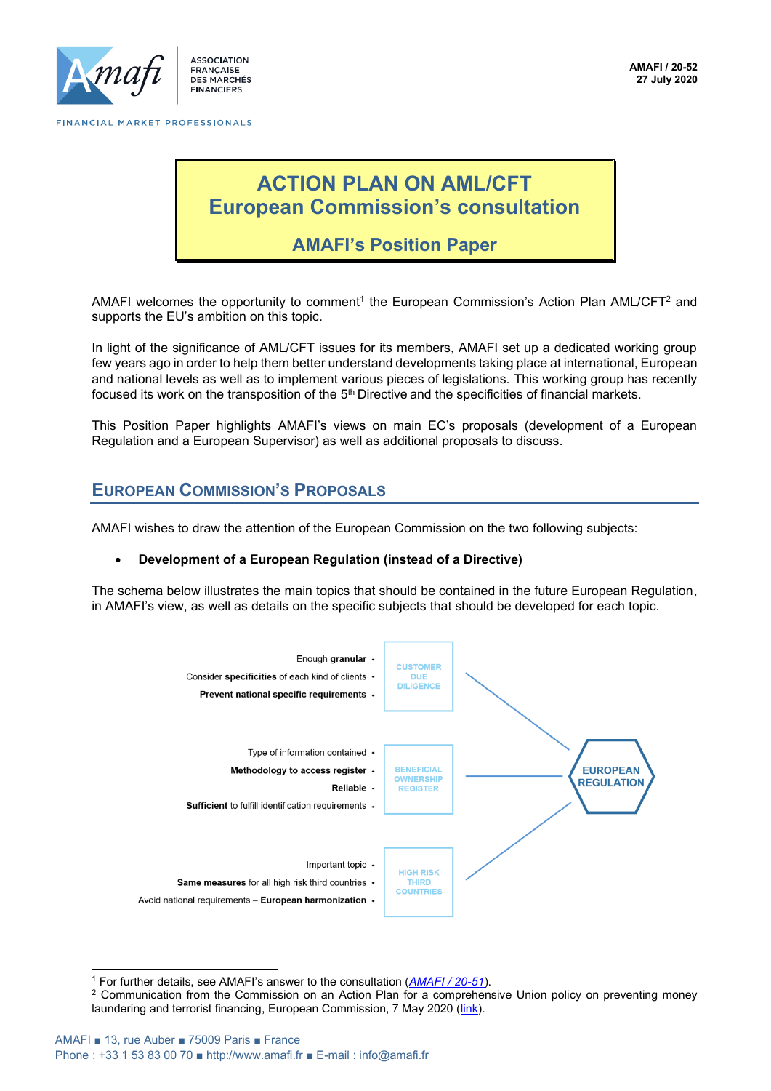

ASSOCIATION **FRANCAISE DES MARCHÉS FINANCIERS** 

# **ACTION PLAN ON AML/CFT European Commission's consultation**

## **AMAFI's Position Paper**

AMAFI welcomes the opportunity to comment<sup>1</sup> the European Commission's Action Plan AML/CFT<sup>2</sup> and supports the EU's ambition on this topic.

In light of the significance of AML/CFT issues for its members, AMAFI set up a dedicated working group few years ago in order to help them better understand developments taking place at international, European and national levels as well as to implement various pieces of legislations. This working group has recently focused its work on the transposition of the  $5<sup>th</sup>$  Directive and the specificities of financial markets.

This Position Paper highlights AMAFI's views on main EC's proposals (development of a European Regulation and a European Supervisor) as well as additional proposals to discuss.

## **EUROPEAN COMMISSION'S PROPOSALS**

AMAFI wishes to draw the attention of the European Commission on the two following subjects:

#### • **Development of a European Regulation (instead of a Directive)**

The schema below illustrates the main topics that should be contained in the future European Regulation, in AMAFI's view, as well as details on the specific subjects that should be developed for each topic.



<sup>1</sup> For further details, see AMAFI's answer to the consultation (*[AMAFI / 20-51](http://www.amafi.fr/sitesearch/fr?search=20-51)*).

<sup>&</sup>lt;sup>2</sup> Communication from the Commission on an Action Plan for a comprehensive Union policy on preventing money laundering and terrorist financing, European Commission, 7 May 2020 [\(link\)](https://ec.europa.eu/finance/docs/law/200507-anti-money-laundering-terrorism-financing-action-plan_en.pdf).